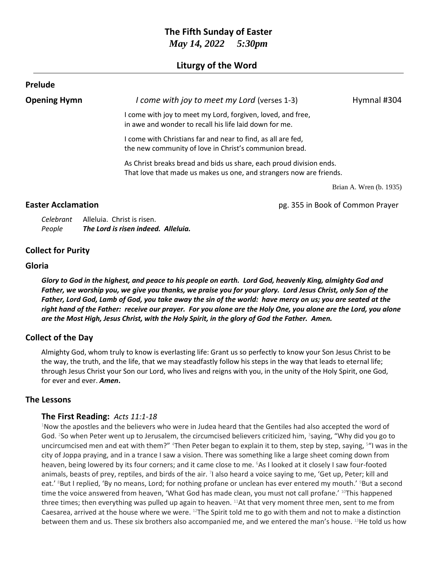# **The Fifth Sunday of Easter** *May 14, 2022 5:30pm*

## **Liturgy of the Word**

### **Prelude**

**Opening Hymn** *I come with joy to meet my Lord* (verses 1-3) Hymnal #304

I come with joy to meet my Lord, forgiven, loved, and free, in awe and wonder to recall his life laid down for me.

I come with Christians far and near to find, as all are fed, the new community of love in Christ's communion bread.

As Christ breaks bread and bids us share, each proud division ends. That love that made us makes us one, and strangers now are friends.

Brian A. Wren (b. 1935)

**Easter Acclamation Easter Acclamation pg. 355 in Book of Common Prayer** 

| Celebrant | Alleluia. Christ is risen.          |
|-----------|-------------------------------------|
| People    | The Lord is risen indeed. Alleluia. |

## **Collect for Purity**

#### **Gloria**

*Glory to God in the highest, and peace to his people on earth. Lord God, heavenly King, almighty God and Father, we worship you, we give you thanks, we praise you for your glory. Lord Jesus Christ, only Son of the Father, Lord God, Lamb of God, you take away the sin of the world: have mercy on us; you are seated at the right hand of the Father: receive our prayer. For you alone are the Holy One, you alone are the Lord, you alone are the Most High, Jesus Christ, with the Holy Spirit, in the glory of God the Father. Amen.*

## **Collect of the Day**

Almighty God, whom truly to know is everlasting life: Grant us so perfectly to know your Son Jesus Christ to be the way, the truth, and the life, that we may steadfastly follow his steps in the way that leads to eternal life; through Jesus Christ your Son our Lord, who lives and reigns with you, in the unity of the Holy Spirit, one God, for ever and ever. *Amen***.**

## **The Lessons**

## **The First Reading:** *Acts 11:1-18*

<sup>1</sup>Now the apostles and the believers who were in Judea heard that the Gentiles had also accepted the word of God. <sup>2</sup>So when Peter went up to Jerusalem, the circumcised believers criticized him, <sup>3</sup>saying, "Why did you go to uncircumcised men and eat with them?" <sup>4</sup>Then Peter began to explain it to them, step by step, saying, <sup>5</sup>"I was in the city of Joppa praying, and in a trance I saw a vision. There was something like a large sheet coming down from heaven, being lowered by its four corners; and it came close to me. <sup>6</sup>As I looked at it closely I saw four-footed animals, beasts of prey, reptiles, and birds of the air. <sup>7</sup>I also heard a voice saying to me, 'Get up, Peter; kill and eat.' <sup>8</sup>But I replied, 'By no means, Lord; for nothing profane or unclean has ever entered my mouth.' <sup>9</sup>But a second time the voice answered from heaven, 'What God has made clean, you must not call profane.' <sup>10</sup>This happened three times; then everything was pulled up again to heaven. <sup>11</sup>At that very moment three men, sent to me from Caesarea, arrived at the house where we were.  $^{12}$ The Spirit told me to go with them and not to make a distinction between them and us. These six brothers also accompanied me, and we entered the man's house. 13He told us how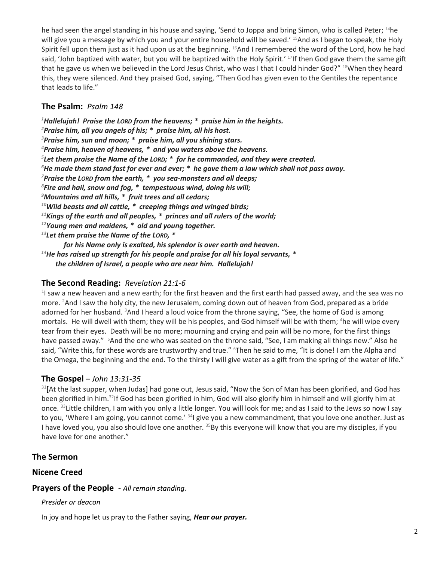he had seen the angel standing in his house and saying, 'Send to Joppa and bring Simon, who is called Peter; <sup>14</sup>he will give you a message by which you and your entire household will be saved.' <sup>15</sup>And as I began to speak, the Holy Spirit fell upon them just as it had upon us at the beginning. <sup>16</sup>And I remembered the word of the Lord, how he had said, 'John baptized with water, but you will be baptized with the Holy Spirit.'  $17$ If then God gave them the same gift that he gave us when we believed in the Lord Jesus Christ, who was I that I could hinder God?" 18When they heard this, they were silenced. And they praised God, saying, "Then God has given even to the Gentiles the repentance that leads to life."

## **The Psalm:** *Psalm 148*

*Hallelujah! Praise the LORD from the heavens; \* praise him in the heights. Praise him, all you angels of his; \* praise him, all his host. Praise him, sun and moon; \* praise him, all you shining stars. Praise him, heaven of heavens, \* and you waters above the heavens. Let them praise the Name of the LORD; \* for he commanded, and they were created. He made them stand fast for ever and ever; \* he gave them a law which shall not pass away. Praise the LORD from the earth, \* you sea-monsters and all deeps; Fire and hail, snow and fog, \* tempestuous wind, doing his will; Mountains and all hills, \* fruit trees and all cedars; Wild beasts and all cattle, \* creeping things and winged birds; Kings of the earth and all peoples, \* princes and all rulers of the world; Young men and maidens, \* old and young together. Let them praise the Name of the LORD, \* for his Name only is exalted, his splendor is over earth and heaven. He has raised up strength for his people and praise for all his loyal servants, \**

*the children of Israel, a people who are near him. Hallelujah!*

## **The Second Reading:** *Revelation 21:1-6*

 $1$  saw a new heaven and a new earth; for the first heaven and the first earth had passed away, and the sea was no more. <sup>2</sup>And I saw the holy city, the new Jerusalem, coming down out of heaven from God, prepared as a bride adorned for her husband.  $3$ And I heard a loud voice from the throne saying, "See, the home of God is among mortals. He will dwell with them; they will be his peoples, and God himself will be with them; <sup>4</sup>he will wipe every tear from their eyes. Death will be no more; mourning and crying and pain will be no more, for the first things have passed away." <sup>5</sup>And the one who was seated on the throne said, "See, I am making all things new." Also he said, "Write this, for these words are trustworthy and true." <sup>6</sup>Then he said to me, "It is done! I am the Alpha and the Omega, the beginning and the end. To the thirsty I will give water as a gift from the spring of the water of life."

## **The Gospel** – *John 13:31-35*

 $31$ [At the last supper, when Judas] had gone out, Jesus said, "Now the Son of Man has been glorified, and God has been glorified in him.<sup>32</sup>If God has been glorified in him, God will also glorify him in himself and will glorify him at once. <sup>33</sup>Little children, I am with you only a little longer. You will look for me; and as I said to the Jews so now I say to you, 'Where I am going, you cannot come.' <sup>34</sup>I give you a new commandment, that you love one another. Just as I have loved you, you also should love one another.  $35$ By this everyone will know that you are my disciples, if you have love for one another."

## **The Sermon**

## **Nicene Creed**

## **Prayers of the People** - *All remain standing.*

## *Presider or deacon*

In joy and hope let us pray to the Father saying, *Hear our prayer.*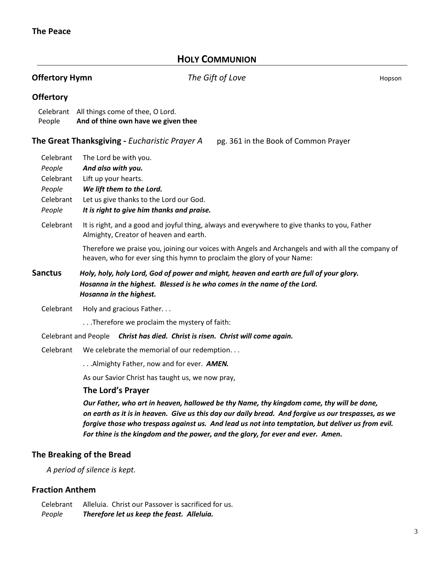# **HOLY COMMUNION**

| <b>Offertory Hymn</b>                                                                                                                  |                                                                                                                                                                                                | The Gift of Love                                                                                                                                                                                                                                                                                                                                                                        | Hopson |  |
|----------------------------------------------------------------------------------------------------------------------------------------|------------------------------------------------------------------------------------------------------------------------------------------------------------------------------------------------|-----------------------------------------------------------------------------------------------------------------------------------------------------------------------------------------------------------------------------------------------------------------------------------------------------------------------------------------------------------------------------------------|--------|--|
| <b>Offertory</b>                                                                                                                       | Celebrant All things come of thee, O Lord.                                                                                                                                                     |                                                                                                                                                                                                                                                                                                                                                                                         |        |  |
| And of thine own have we given thee<br>People<br>The Great Thanksgiving - Eucharistic Prayer A<br>pg. 361 in the Book of Common Prayer |                                                                                                                                                                                                |                                                                                                                                                                                                                                                                                                                                                                                         |        |  |
| Celebrant<br>People<br>Celebrant<br>People<br>Celebrant<br>People                                                                      | The Lord be with you.<br>And also with you.<br>Lift up your hearts.<br>We lift them to the Lord.<br>Let us give thanks to the Lord our God.<br>It is right to give him thanks and praise.      |                                                                                                                                                                                                                                                                                                                                                                                         |        |  |
| Celebrant                                                                                                                              | Almighty, Creator of heaven and earth.                                                                                                                                                         | It is right, and a good and joyful thing, always and everywhere to give thanks to you, Father                                                                                                                                                                                                                                                                                           |        |  |
|                                                                                                                                        |                                                                                                                                                                                                | Therefore we praise you, joining our voices with Angels and Archangels and with all the company of<br>heaven, who for ever sing this hymn to proclaim the glory of your Name:                                                                                                                                                                                                           |        |  |
| <b>Sanctus</b>                                                                                                                         | Holy, holy, holy Lord, God of power and might, heaven and earth are full of your glory.<br>Hosanna in the highest. Blessed is he who comes in the name of the Lord.<br>Hosanna in the highest. |                                                                                                                                                                                                                                                                                                                                                                                         |        |  |
| Celebrant                                                                                                                              | Holy and gracious Father                                                                                                                                                                       |                                                                                                                                                                                                                                                                                                                                                                                         |        |  |
|                                                                                                                                        |                                                                                                                                                                                                | Therefore we proclaim the mystery of faith:                                                                                                                                                                                                                                                                                                                                             |        |  |
|                                                                                                                                        |                                                                                                                                                                                                | Celebrant and People Christ has died. Christ is risen. Christ will come again.                                                                                                                                                                                                                                                                                                          |        |  |
| Celebrant                                                                                                                              |                                                                                                                                                                                                | We celebrate the memorial of our redemption                                                                                                                                                                                                                                                                                                                                             |        |  |
|                                                                                                                                        |                                                                                                                                                                                                | Almighty Father, now and for ever. AMEN.                                                                                                                                                                                                                                                                                                                                                |        |  |
|                                                                                                                                        |                                                                                                                                                                                                | As our Savior Christ has taught us, we now pray,                                                                                                                                                                                                                                                                                                                                        |        |  |
| The Lord's Prayer                                                                                                                      |                                                                                                                                                                                                |                                                                                                                                                                                                                                                                                                                                                                                         |        |  |
|                                                                                                                                        |                                                                                                                                                                                                | Our Father, who art in heaven, hallowed be thy Name, thy kingdom come, thy will be done,<br>on earth as it is in heaven. Give us this day our daily bread. And forgive us our trespasses, as we<br>forgive those who trespass against us. And lead us not into temptation, but deliver us from evil.<br>For thine is the kingdom and the power, and the glory, for ever and ever. Amen. |        |  |
| The Breaking of the Bread                                                                                                              |                                                                                                                                                                                                |                                                                                                                                                                                                                                                                                                                                                                                         |        |  |
|                                                                                                                                        | A period of silence is kept.                                                                                                                                                                   |                                                                                                                                                                                                                                                                                                                                                                                         |        |  |

# **Fraction Anthem**

Celebrant Alleluia. Christ our Passover is sacrificed for us.<br>People Therefore let us keep the feast. Alleluia. **Therefore let us keep the feast. Alleluia.**